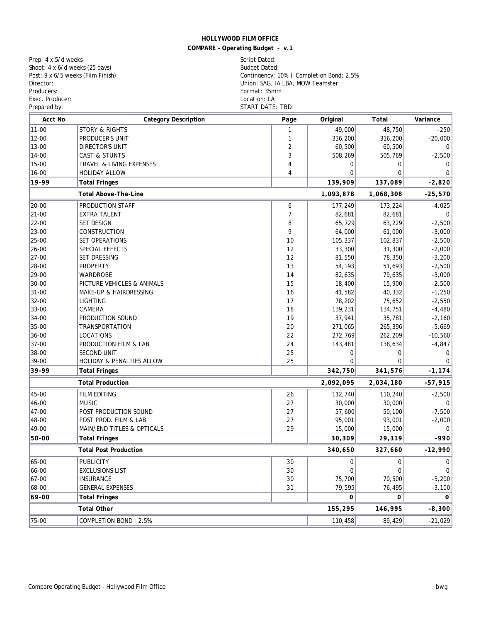**COMPARE - Operating Budget - v.1**

Prep: 4 x 5/d weeks (25 days) Script Dated: Shoot: 4 x 6/d weeks (25 days) Script Dated: Budget Dated: Shoot:  $4 \times 6/d$  weeks ( $25$  days)<br>Post:  $9 \times 6/5$  weeks (Film Finish) Producers: Format: 35mm<br>
Exec. Producer: Containing the Society of the Society of The Society of The Society of The Society of The Society of The Society of The Society of The Society of The Society of The Society of The S Exec. Producer:<br>Prepared by:

Post: 9 x 6/5 weeks (Film Finish) Contingency: 10% | Completion Bond: 2.5% Director: Union: SAG, IA LBA, MOW Teamster START DATE: TBD

| Acct No                           | <b>Category Description</b>  | Page             | Original         | Total            | Variance              |
|-----------------------------------|------------------------------|------------------|------------------|------------------|-----------------------|
| $11 - 00$                         | <b>STORY &amp; RIGHTS</b>    |                  | 49,000           | 48,750           | $-250$                |
| $12 - 00$                         | PRODUCER'S UNIT              | 1                | 336,200          | 316,200          | $-20,000$             |
| 13-00                             | DIRECTOR'S UNIT              | $\boldsymbol{2}$ | 60,500           | 60,500           |                       |
| $14 - 00$                         | CAST & STUNTS                | 3                | 508,269          | 505,769          | $-2,500$              |
| $15 - 00$                         | TRAVEL & LIVING EXPENSES     | 4                | 0                | $\mathbf{0}$     | $\bf{0}$              |
| $16 - 00$                         | HOLIDAY ALLOW                | 4                | $\overline{0}$   | $\mathbf{0}$     | $\bf{0}$              |
| 19-99                             | <b>Total Fringes</b>         |                  | 139,909          | 137,089          | $-2,820$              |
| Total Above-The-Line              |                              |                  | 1,093,878        | 1,068,308        | $-25,570$             |
| 20-00                             | PRODUCTION STAFF             | 6                | 177,249          | 173,224          | $-4,025$              |
| $ 21 - 00$                        | <b>EXTRA TALENT</b>          | $\boldsymbol{7}$ | 82,681           | 82,681           | 0                     |
| 22-00                             | <b>SET DESIGN</b>            | 8                | 65,729           | 63,229           | $-2,500$              |
| 23-00                             | CONSTRUCTION                 | $\boldsymbol{9}$ | 64,000           | 61,000           | $-3,000$              |
| 25-00                             | SET OPERATIONS               | 10               | 105,337          | 102,837          | $-2,500$              |
| 26-00                             | SPECIAL EFFECTS              | 12               | 33,300           | 31,300           | $-2,000$              |
| 27-00                             | SET DRESSING                 | 12               | 81,550           | 78,350           | $-3,200$              |
| 28-00                             | <b>PROPERTY</b>              | 13               | 54,193           | 51,693           | $-2,500$              |
| 29-00                             | WARDROBE                     | 14               | 82,635           | 79,635           | $-3,000$              |
| 30-00                             | PICTURE VEHICLES & ANIMALS   | 15               | 18,400           | 15,900           | $-2,500$              |
| $31 - 00$                         | MAKE-UP & HAIRDRESSING       | 16               | 41,582           | 40,332           | $-1,250$              |
| 32-00                             | <b>LIGHTING</b>              | 17               | 78,202           | 75,652           | $-2,550$              |
| 33-00                             | CAMERA                       | 18               | 139,231          | 134,751          | $-4,480$              |
| 34-00                             | PRODUCTION SOUND             | 19               | 37,941           | 35,781           | $-2,160$              |
| 35-00                             | <b>TRANSPORTATION</b>        | 20               | 271,065          | 265,396          | $-5,669$              |
| 36-00                             | <b>LOCATIONS</b>             | $2\sqrt{2}$      | 272,769          | 262,209          | $-10,560$             |
| 37-00                             | PRODUCTION FILM & LAB        | 24               | 143,481          | 138,634          | $-4,847$              |
| 38-00                             | <b>SECOND UNIT</b>           | 25               | 0                | $\mathbf{0}$     | $\bf{0}$              |
| 39-00                             | HOLIDAY & PENALTIES ALLOW    | $2\sqrt{5}$      | $\overline{0}$   | $\theta$         | $\bf{0}$              |
| 39-99                             | <b>Total Fringes</b>         |                  | 342,750          | 341,576          | $-1, 174$             |
| <b>Total Production</b>           |                              |                  | 2,092,095        | 2,034,180        | $-57,915$             |
| 45-00                             | FILM EDITING                 | 26               | 112,740          | 110,240          | $-2,500$              |
| $46 - 00$                         | MUSIC                        | 27               | 30,000           | 30,000           | 0                     |
| $47 - 00$                         | POST PRODUCTION SOUND        | 27               | 57,600           | 50,100           | $-7,500$              |
| 48-00                             | POST PROD. FILM & LAB        | 27               | 95,001           | 93,001           | $-2,000$              |
| 49-00                             | MAIN/END TITLES & OPTICALS   | 29               | 15,000           | 15,000           | $\bf{0}$              |
| $50-00$                           | <b>Total Fringes</b>         |                  | 30,309           | 29,319           | $-990$                |
| <b>Total Post Production</b>      |                              |                  | 340,650          | 327,660          | $-12,990$             |
| 65-00                             | <b>PUBLICITY</b>             | 30               | $\boldsymbol{0}$ | $\boldsymbol{0}$ | 0                     |
| 66-00                             | <b>EXCLUSIONS LIST</b>       | 30               | $\bf{0}$         | $\bf{0}$         | 0 <sup>1</sup>        |
| 67-00                             | <b>INSURANCE</b>             | 30               | 75,700           | 70,500           | $-5,200$              |
| 68-00                             | <b>GENERAL EXPENSES</b>      | 31               | 79,595           | 76,495           | $-3,100$              |
| 69-00                             | <b>Total Fringes</b>         |                  | $\mathbf{0}$     | $\bf{0}$         | $\bf{0}$              |
| Total Other<br>155,295<br>146,995 |                              |                  |                  |                  |                       |
| $75 - 00$                         | <b>COMPLETION BOND: 2.5%</b> |                  | 110,458          | 89,429           | $-8,300$<br>$-21,029$ |
|                                   |                              |                  |                  |                  |                       |